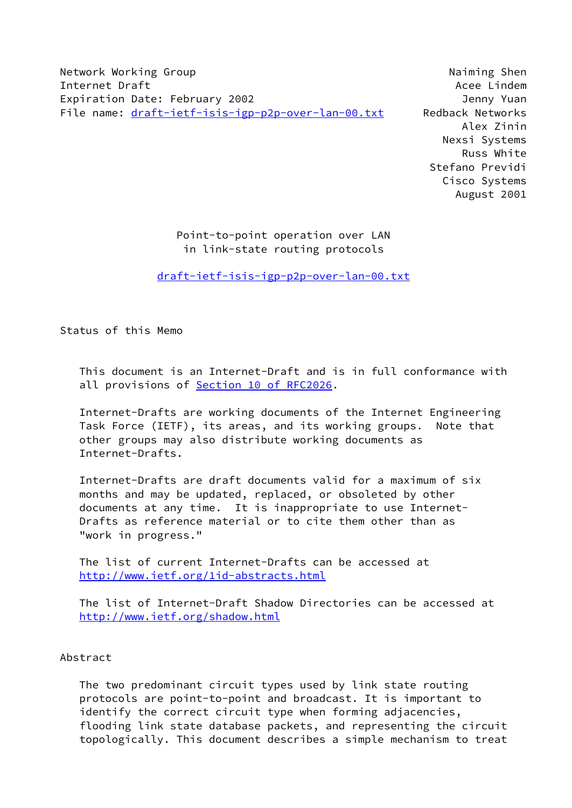Network Working Group Naiming Shen Internet Draft Acee Lindem and Acee Lindem and Acee Lindem and Acee Lindem and Acee Lindem and Acee Lindem and Expiration Date: February 2002 Jenny Yuan File name: [draft-ietf-isis-igp-p2p-over-lan-00.txt](https://datatracker.ietf.org/doc/pdf/draft-ietf-isis-igp-p2p-over-lan-00.txt) Redback Networks

 Alex Zinin Nexsi Systems Russ White Stefano Previdi Cisco Systems August 2001

## Point-to-point operation over LAN in link-state routing protocols

[draft-ietf-isis-igp-p2p-over-lan-00.txt](https://datatracker.ietf.org/doc/pdf/draft-ietf-isis-igp-p2p-over-lan-00.txt)

Status of this Memo

 This document is an Internet-Draft and is in full conformance with all provisions of **Section 10 of RFC2026**.

 Internet-Drafts are working documents of the Internet Engineering Task Force (IETF), its areas, and its working groups. Note that other groups may also distribute working documents as Internet-Drafts.

 Internet-Drafts are draft documents valid for a maximum of six months and may be updated, replaced, or obsoleted by other documents at any time. It is inappropriate to use Internet- Drafts as reference material or to cite them other than as "work in progress."

 The list of current Internet-Drafts can be accessed at <http://www.ietf.org/1id-abstracts.html>

 The list of Internet-Draft Shadow Directories can be accessed at <http://www.ietf.org/shadow.html>

## Abstract

 The two predominant circuit types used by link state routing protocols are point-to-point and broadcast. It is important to identify the correct circuit type when forming adjacencies, flooding link state database packets, and representing the circuit topologically. This document describes a simple mechanism to treat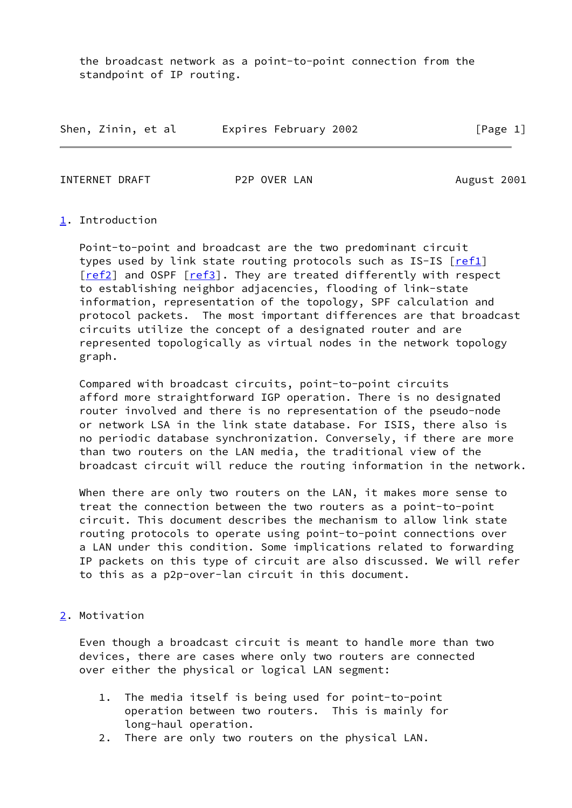the broadcast network as a point-to-point connection from the standpoint of IP routing.

| Shen, Zinin, et al |  | Expires February 2002 |          |
|--------------------|--|-----------------------|----------|
|                    |  |                       | [Page 1] |

INTERNET DRAFT P2P OVER LAN August 2001

# <span id="page-1-0"></span>[1](#page-1-0). Introduction

 Point-to-point and broadcast are the two predominant circuit types used by link state routing protocols such as IS-IS  $[ref1]$  $[ref1]$ [\[ref2](#page-7-1)] and OSPF [\[ref3](#page-7-2)]. They are treated differently with respect to establishing neighbor adjacencies, flooding of link-state information, representation of the topology, SPF calculation and protocol packets. The most important differences are that broadcast circuits utilize the concept of a designated router and are represented topologically as virtual nodes in the network topology graph.

 Compared with broadcast circuits, point-to-point circuits afford more straightforward IGP operation. There is no designated router involved and there is no representation of the pseudo-node or network LSA in the link state database. For ISIS, there also is no periodic database synchronization. Conversely, if there are more than two routers on the LAN media, the traditional view of the broadcast circuit will reduce the routing information in the network.

 When there are only two routers on the LAN, it makes more sense to treat the connection between the two routers as a point-to-point circuit. This document describes the mechanism to allow link state routing protocols to operate using point-to-point connections over a LAN under this condition. Some implications related to forwarding IP packets on this type of circuit are also discussed. We will refer to this as a p2p-over-lan circuit in this document.

<span id="page-1-1"></span>[2](#page-1-1). Motivation

 Even though a broadcast circuit is meant to handle more than two devices, there are cases where only two routers are connected over either the physical or logical LAN segment:

- 1. The media itself is being used for point-to-point operation between two routers. This is mainly for long-haul operation.
- 2. There are only two routers on the physical LAN.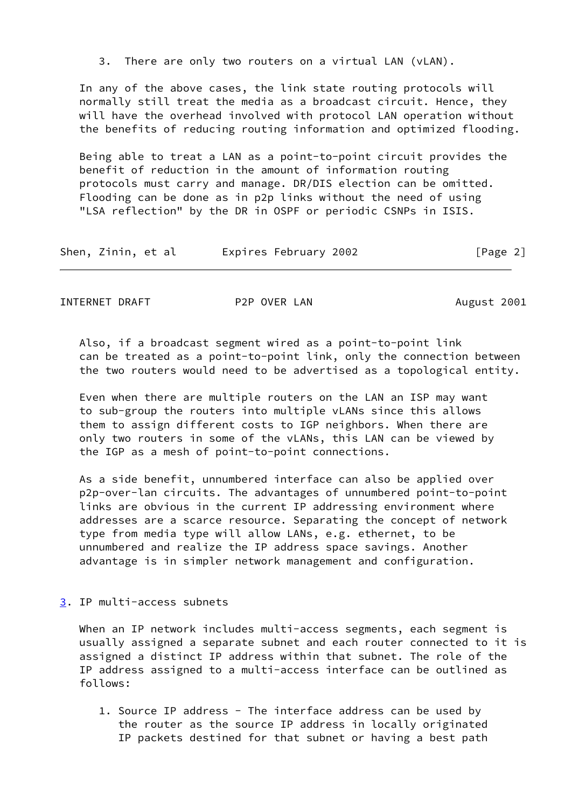3. There are only two routers on a virtual LAN (vLAN).

 In any of the above cases, the link state routing protocols will normally still treat the media as a broadcast circuit. Hence, they will have the overhead involved with protocol LAN operation without the benefits of reducing routing information and optimized flooding.

 Being able to treat a LAN as a point-to-point circuit provides the benefit of reduction in the amount of information routing protocols must carry and manage. DR/DIS election can be omitted. Flooding can be done as in p2p links without the need of using "LSA reflection" by the DR in OSPF or periodic CSNPs in ISIS.

| Shen, Zinin, et al | Expires February 2002 | [Page 2] |
|--------------------|-----------------------|----------|
|--------------------|-----------------------|----------|

INTERNET DRAFT P2P OVER LAN August 2001

 Also, if a broadcast segment wired as a point-to-point link can be treated as a point-to-point link, only the connection between the two routers would need to be advertised as a topological entity.

 Even when there are multiple routers on the LAN an ISP may want to sub-group the routers into multiple vLANs since this allows them to assign different costs to IGP neighbors. When there are only two routers in some of the vLANs, this LAN can be viewed by the IGP as a mesh of point-to-point connections.

 As a side benefit, unnumbered interface can also be applied over p2p-over-lan circuits. The advantages of unnumbered point-to-point links are obvious in the current IP addressing environment where addresses are a scarce resource. Separating the concept of network type from media type will allow LANs, e.g. ethernet, to be unnumbered and realize the IP address space savings. Another advantage is in simpler network management and configuration.

<span id="page-2-0"></span>[3](#page-2-0). IP multi-access subnets

When an IP network includes multi-access segments, each segment is usually assigned a separate subnet and each router connected to it is assigned a distinct IP address within that subnet. The role of the IP address assigned to a multi-access interface can be outlined as follows:

 1. Source IP address - The interface address can be used by the router as the source IP address in locally originated IP packets destined for that subnet or having a best path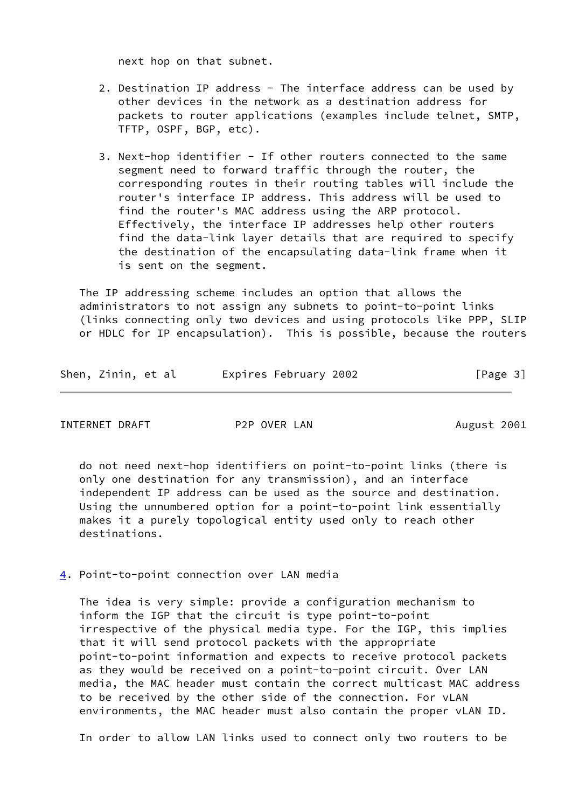next hop on that subnet.

- 2. Destination IP address The interface address can be used by other devices in the network as a destination address for packets to router applications (examples include telnet, SMTP, TFTP, OSPF, BGP, etc).
- 3. Next-hop identifier If other routers connected to the same segment need to forward traffic through the router, the corresponding routes in their routing tables will include the router's interface IP address. This address will be used to find the router's MAC address using the ARP protocol. Effectively, the interface IP addresses help other routers find the data-link layer details that are required to specify the destination of the encapsulating data-link frame when it is sent on the segment.

 The IP addressing scheme includes an option that allows the administrators to not assign any subnets to point-to-point links (links connecting only two devices and using protocols like PPP, SLIP or HDLC for IP encapsulation). This is possible, because the routers

|  | Shen, Zinin, et al |  | Expires February 2002 | [Page 3] |
|--|--------------------|--|-----------------------|----------|
|--|--------------------|--|-----------------------|----------|

INTERNET DRAFT P2P OVER LAN August 2001

 do not need next-hop identifiers on point-to-point links (there is only one destination for any transmission), and an interface independent IP address can be used as the source and destination. Using the unnumbered option for a point-to-point link essentially makes it a purely topological entity used only to reach other destinations.

<span id="page-3-0"></span>[4](#page-3-0). Point-to-point connection over LAN media

 The idea is very simple: provide a configuration mechanism to inform the IGP that the circuit is type point-to-point irrespective of the physical media type. For the IGP, this implies that it will send protocol packets with the appropriate point-to-point information and expects to receive protocol packets as they would be received on a point-to-point circuit. Over LAN media, the MAC header must contain the correct multicast MAC address to be received by the other side of the connection. For vLAN environments, the MAC header must also contain the proper vLAN ID.

In order to allow LAN links used to connect only two routers to be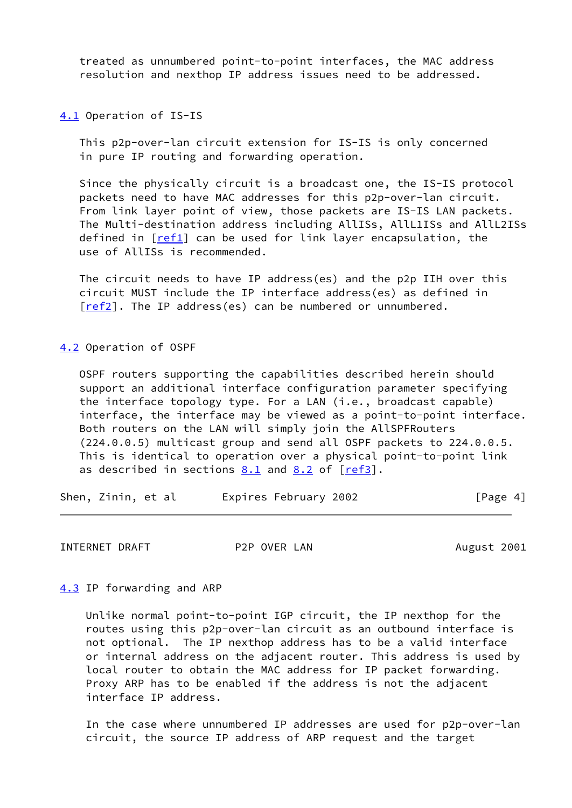treated as unnumbered point-to-point interfaces, the MAC address resolution and nexthop IP address issues need to be addressed.

<span id="page-4-0"></span>[4.1](#page-4-0) Operation of IS-IS

 This p2p-over-lan circuit extension for IS-IS is only concerned in pure IP routing and forwarding operation.

 Since the physically circuit is a broadcast one, the IS-IS protocol packets need to have MAC addresses for this p2p-over-lan circuit. From link layer point of view, those packets are IS-IS LAN packets. The Multi-destination address including AllISs, AllL1ISs and AllL2ISs defined in  $[ref1]$  $[ref1]$  can be used for link layer encapsulation, the use of AllISs is recommended.

 The circuit needs to have IP address(es) and the p2p IIH over this circuit MUST include the IP interface address(es) as defined in [\[ref2](#page-7-1)]. The IP address(es) can be numbered or unnumbered.

<span id="page-4-1"></span>[4.2](#page-4-1) Operation of OSPF

 OSPF routers supporting the capabilities described herein should support an additional interface configuration parameter specifying the interface topology type. For a LAN (i.e., broadcast capable) interface, the interface may be viewed as a point-to-point interface. Both routers on the LAN will simply join the AllSPFRouters (224.0.0.5) multicast group and send all OSPF packets to 224.0.0.5. This is identical to operation over a physical point-to-point link as described in sections  $8.1$  and  $8.2$  of  $[ref3]$  $[ref3]$ .

Shen, Zinin, et al expires February 2002 [Page 4]

INTERNET DRAFT P2P OVER LAN August 2001

<span id="page-4-2"></span>[4.3](#page-4-2) IP forwarding and ARP

 Unlike normal point-to-point IGP circuit, the IP nexthop for the routes using this p2p-over-lan circuit as an outbound interface is not optional. The IP nexthop address has to be a valid interface or internal address on the adjacent router. This address is used by local router to obtain the MAC address for IP packet forwarding. Proxy ARP has to be enabled if the address is not the adjacent interface IP address.

 In the case where unnumbered IP addresses are used for p2p-over-lan circuit, the source IP address of ARP request and the target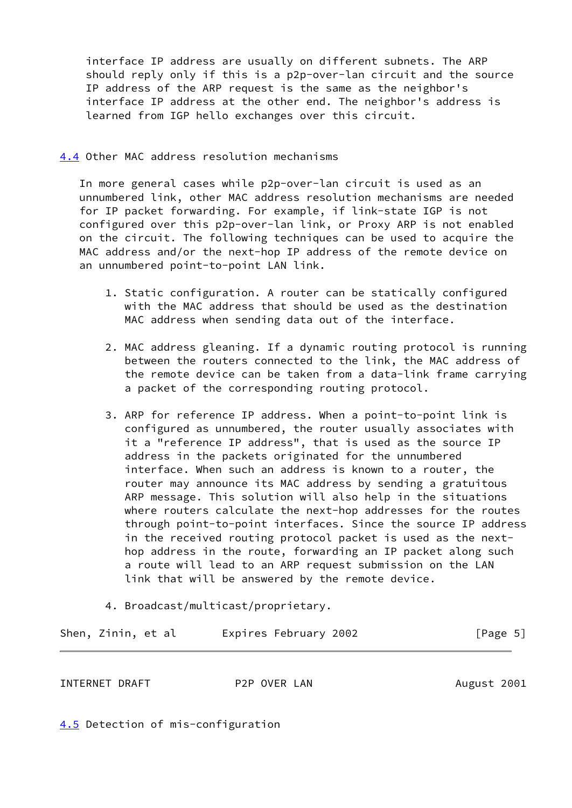interface IP address are usually on different subnets. The ARP should reply only if this is a p2p-over-lan circuit and the source IP address of the ARP request is the same as the neighbor's interface IP address at the other end. The neighbor's address is learned from IGP hello exchanges over this circuit.

<span id="page-5-0"></span>[4.4](#page-5-0) Other MAC address resolution mechanisms

 In more general cases while p2p-over-lan circuit is used as an unnumbered link, other MAC address resolution mechanisms are needed for IP packet forwarding. For example, if link-state IGP is not configured over this p2p-over-lan link, or Proxy ARP is not enabled on the circuit. The following techniques can be used to acquire the MAC address and/or the next-hop IP address of the remote device on an unnumbered point-to-point LAN link.

- 1. Static configuration. A router can be statically configured with the MAC address that should be used as the destination MAC address when sending data out of the interface.
- 2. MAC address gleaning. If a dynamic routing protocol is running between the routers connected to the link, the MAC address of the remote device can be taken from a data-link frame carrying a packet of the corresponding routing protocol.
- 3. ARP for reference IP address. When a point-to-point link is configured as unnumbered, the router usually associates with it a "reference IP address", that is used as the source IP address in the packets originated for the unnumbered interface. When such an address is known to a router, the router may announce its MAC address by sending a gratuitous ARP message. This solution will also help in the situations where routers calculate the next-hop addresses for the routes through point-to-point interfaces. Since the source IP address in the received routing protocol packet is used as the next hop address in the route, forwarding an IP packet along such a route will lead to an ARP request submission on the LAN link that will be answered by the remote device.
- 4. Broadcast/multicast/proprietary.

|  | Shen, Zinin, et al |  |  | Expires February 2002 |  | [Page 5] |  |
|--|--------------------|--|--|-----------------------|--|----------|--|
|--|--------------------|--|--|-----------------------|--|----------|--|

INTERNET DRAFT P2P OVER LAN August 2001

<span id="page-5-1"></span>[4.5](#page-5-1) Detection of mis-configuration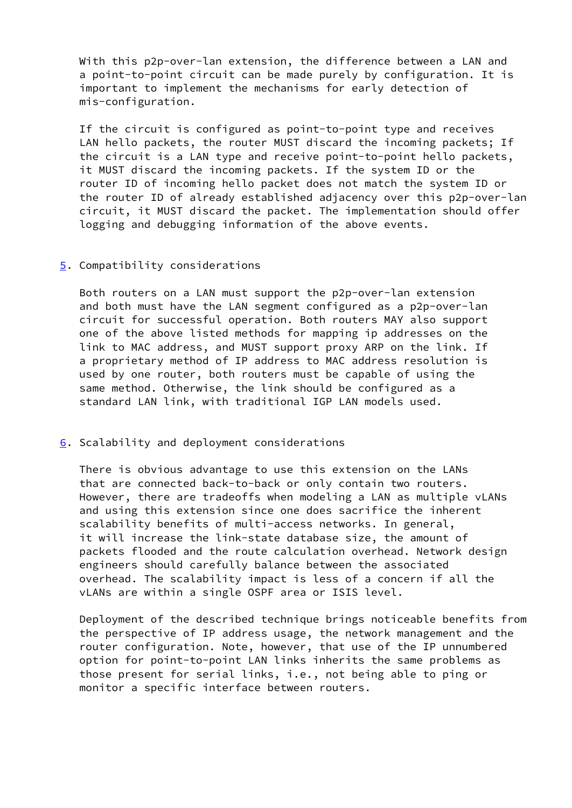With this p2p-over-lan extension, the difference between a LAN and a point-to-point circuit can be made purely by configuration. It is important to implement the mechanisms for early detection of mis-configuration.

 If the circuit is configured as point-to-point type and receives LAN hello packets, the router MUST discard the incoming packets; If the circuit is a LAN type and receive point-to-point hello packets, it MUST discard the incoming packets. If the system ID or the router ID of incoming hello packet does not match the system ID or the router ID of already established adjacency over this p2p-over-lan circuit, it MUST discard the packet. The implementation should offer logging and debugging information of the above events.

## <span id="page-6-0"></span>[5](#page-6-0). Compatibility considerations

 Both routers on a LAN must support the p2p-over-lan extension and both must have the LAN segment configured as a p2p-over-lan circuit for successful operation. Both routers MAY also support one of the above listed methods for mapping ip addresses on the link to MAC address, and MUST support proxy ARP on the link. If a proprietary method of IP address to MAC address resolution is used by one router, both routers must be capable of using the same method. Otherwise, the link should be configured as a standard LAN link, with traditional IGP LAN models used.

#### <span id="page-6-1"></span>[6](#page-6-1). Scalability and deployment considerations

 There is obvious advantage to use this extension on the LANs that are connected back-to-back or only contain two routers. However, there are tradeoffs when modeling a LAN as multiple vLANs and using this extension since one does sacrifice the inherent scalability benefits of multi-access networks. In general, it will increase the link-state database size, the amount of packets flooded and the route calculation overhead. Network design engineers should carefully balance between the associated overhead. The scalability impact is less of a concern if all the vLANs are within a single OSPF area or ISIS level.

 Deployment of the described technique brings noticeable benefits from the perspective of IP address usage, the network management and the router configuration. Note, however, that use of the IP unnumbered option for point-to-point LAN links inherits the same problems as those present for serial links, i.e., not being able to ping or monitor a specific interface between routers.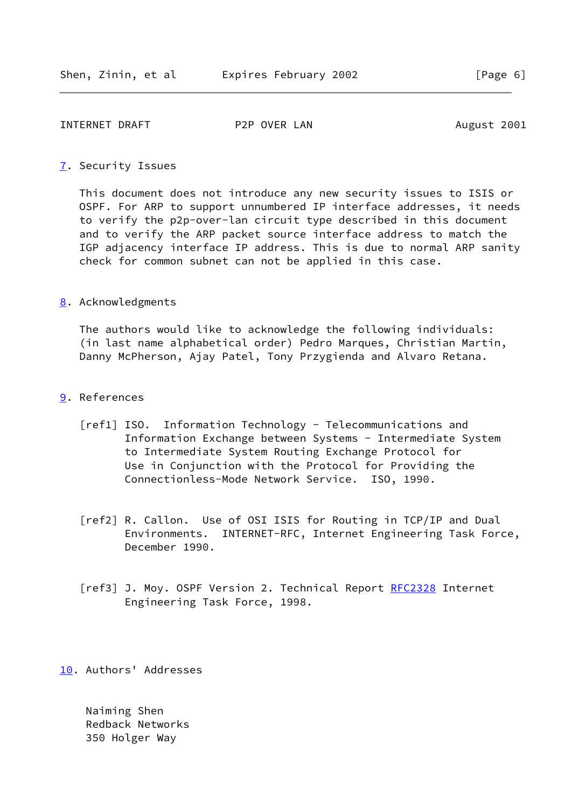#### INTERNET DRAFT P2P OVER LAN August 2001

#### <span id="page-7-3"></span>[7](#page-7-3). Security Issues

 This document does not introduce any new security issues to ISIS or OSPF. For ARP to support unnumbered IP interface addresses, it needs to verify the p2p-over-lan circuit type described in this document and to verify the ARP packet source interface address to match the IGP adjacency interface IP address. This is due to normal ARP sanity check for common subnet can not be applied in this case.

### <span id="page-7-4"></span>[8](#page-7-4). Acknowledgments

 The authors would like to acknowledge the following individuals: (in last name alphabetical order) Pedro Marques, Christian Martin, Danny McPherson, Ajay Patel, Tony Przygienda and Alvaro Retana.

- <span id="page-7-5"></span><span id="page-7-1"></span><span id="page-7-0"></span>[9](#page-7-5). References
	- [ref1] ISO. Information Technology Telecommunications and Information Exchange between Systems - Intermediate System to Intermediate System Routing Exchange Protocol for Use in Conjunction with the Protocol for Providing the Connectionless-Mode Network Service. ISO, 1990.
	- [ref2] R. Callon. Use of OSI ISIS for Routing in TCP/IP and Dual Environments. INTERNET-RFC, Internet Engineering Task Force, December 1990.
	- [ref3] J. Moy. OSPF Version 2. Technical Report [RFC2328](https://datatracker.ietf.org/doc/pdf/rfc2328) Internet Engineering Task Force, 1998.

<span id="page-7-6"></span><span id="page-7-2"></span>[10.](#page-7-6) Authors' Addresses

 Naiming Shen Redback Networks 350 Holger Way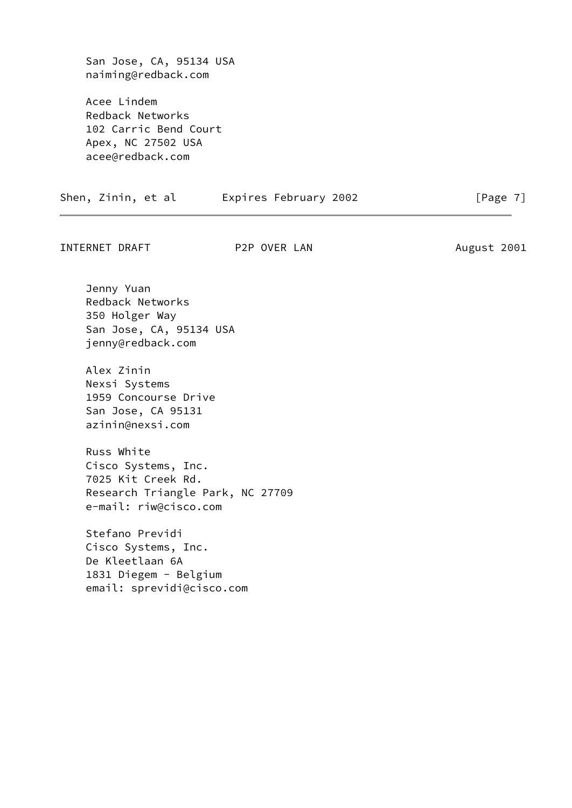San Jose, CA, 95134 USA naiming@redback.com

 Acee Lindem Redback Networks 102 Carric Bend Court Apex, NC 27502 USA acee@redback.com

|  | Shen, Zinin, et al |  |  | Expires February 2002 |  | [Page 7] |  |
|--|--------------------|--|--|-----------------------|--|----------|--|
|--|--------------------|--|--|-----------------------|--|----------|--|

INTERNET DRAFT P2P OVER LAN August 2001

 Jenny Yuan Redback Networks 350 Holger Way San Jose, CA, 95134 USA jenny@redback.com

 Alex Zinin Nexsi Systems 1959 Concourse Drive San Jose, CA 95131 azinin@nexsi.com

 Russ White Cisco Systems, Inc. 7025 Kit Creek Rd. Research Triangle Park, NC 27709 e-mail: riw@cisco.com

 Stefano Previdi Cisco Systems, Inc. De Kleetlaan 6A 1831 Diegem - Belgium email: sprevidi@cisco.com